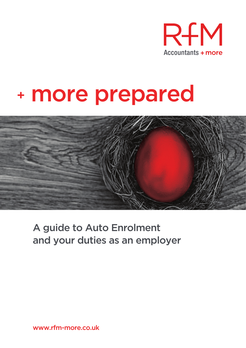

# + more prepared



### A guide to Auto Enrolment and your duties as an employer

www.rfm-more.co.uk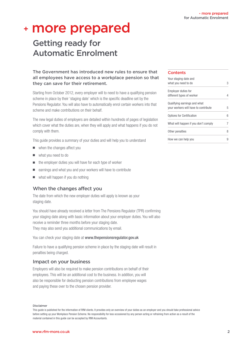### <sup>+</sup> more prepared

### Getting ready for Automatic Enrolment

The Government has introduced new rules to ensure that all employees have access to a workplace pension so that they can save for their retirement.

Starting from October 2012, every employer will to need to have a qualifying pension scheme in place by their 'staging date' which is the specific deadline set by the Pensions Regulator. You will also have to automatically enrol certain workers into that scheme and make contributions on their behalf.

The new legal duties of employers are detailed within hundreds of pages of legislation which cover what the duties are, when they will apply and what happens if you do not comply with them.

This guide provides a summary of your duties and will help you to understand

- $\blacksquare$  when the changes affect you
- $\blacksquare$  what you need to do
- $\blacksquare$  the employer duties you will have for each type of worker
- $\blacksquare$  earnings and what you and your workers will have to contribute
- $\blacksquare$  what will happen if you do nothing

#### When the changes affect you

The date from which the new employer duties will apply is known as your staging date.

You should have already received a letter from The Pensions Regulator (TPR) confirming your staging date along with basic information about your employer duties. You will also receive a reminder three months before your staging date. They may also send you additional communications by email.

You can check your staging date at www.thepensionsregulator.gov.uk

Failure to have a qualifying pension scheme in place by the staging date will result in penalties being charged.

#### Impact on your business

Employers will also be required to make pension contributions on behalf of their employees. This will be an additional cost to the business. In addition, you will also be responsible for deducting pension contributions from employee wages and paying these over to the chosen pension provider.

#### Disclaimer

This guide is published for the information of RfM clients. It provides only an overview of your duties as an employer and you should take professional advice before setting up your Workplace Pension Scheme. No responsibility for loss occasioned by any person acting or refraining from action as a result of the material contained in this guide can be accepted by RfM Accountants.

#### **Contents**

| Your staging date and                |   |
|--------------------------------------|---|
| what you need to do                  | 3 |
| Employer duties for                  |   |
| different types of worker            | 4 |
| Qualifying earnings and what         |   |
| your workers will have to contribute | 5 |
| Options for Certification            | 6 |
| What will happen if you don't comply | 7 |
| Other penalties                      | 8 |
| How we can help you                  | 9 |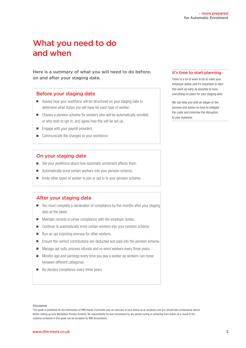### What you need to do and when

Here is a summary of what you will need to do before, on and after your staging date.

#### Before your staging date

- <sup>n</sup> Assess how your workforce will be structured on your staging date to determine what duties you will have for each type of worker.
- Choose a pension scheme for workers who will be automatically enrolled or who wish to opt-in, and agree how this will be set up.
- **n** Engage with your payroll providers.
- $\Box$  Communicate the changes to your workforce.

#### On your staging date

- $\blacksquare$  Tell your workforce about how automatic enrolment affects them.
- Automatically enrol certain workers into your pension scheme.
- n Invite other types of worker to join or opt in to your pension scheme.

#### After your staging date

- You must complete a declaration of compliance by five months after your staging date at the latest.
- Maintain records to prove compliance with the employer duties.
- Continue to automatically enrol certain workers into your pension scheme.
- $\blacksquare$  Run an opt in/joining process for other workers.
- Ensure the correct contributions are deducted and paid into the pension scheme.
- Manage opt outs, process refunds and re-enrol workers every three years.
- $\blacksquare$  Monitor age and earnings every time you pay a worker as workers can move between different categories.
- **n** Re-declare compliance every three years.

#### It's time to start planning

There is a lot of work to do to meet your employer duties and it's important to start this work as early as possible to have everything on place for your staging date.

We can help you with all stages of the process and advise on how to mitigate the costs and minimise the disruption to your business.

#### Disclaimer

This guide is published for the information of RfM clients. It provides only an overview of your duties as an employer and you should take professional advice before setting up your Workplace Pension Scheme. No responsibility for loss occasioned by any person acting or refraining from action as a result of the material contained in this guide can be accepted by RfM Accountants.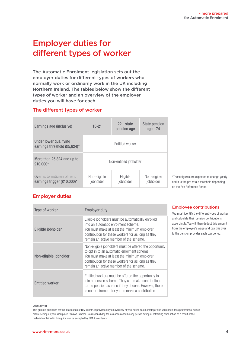### Employer duties for different types of worker

The Automatic Enrolment legislation sets out the employer duties for different types of workers who normally work or ordinarily work in the UK including Northern Ireland. The tables below show the different types of worker and an overview of the employer duties you will have for each.

#### The different types of worker

| Earnings age (inclusive)                                   | $16 - 21$                 | $22 - state$<br>pension age | <b>State pension</b><br>age - 74 |
|------------------------------------------------------------|---------------------------|-----------------------------|----------------------------------|
| Under lower qualifying<br>earnings threshold (£5,824)*     | <b>Fntitled worker</b>    |                             |                                  |
| More than £5,824 and up to<br>£10,000*                     | Non-entitled jobholder    |                             |                                  |
| Over automatic enrolment<br>earnings trigger $(E10,000)^*$ | Non-eligible<br>jobholder | Eligible<br>jobholder       | Non-eligible<br>jobholder        |

\*These figures are expected to change yearly and it is the pro rata'd threshold depending on the Pay Reference Period.

#### Employer duties

| Type of worker         | <b>Employer duty</b>                                                                                                                                                                                                                                  |
|------------------------|-------------------------------------------------------------------------------------------------------------------------------------------------------------------------------------------------------------------------------------------------------|
| Eligible jobholder     | Eligible jobholders must be automatically enrolled<br>into an automatic enrolment scheme.<br>You must make at least the minimum employer<br>contribution for these workers for as long as they<br>remain an active member of the scheme.              |
| Non-eligible jobholder | Non-eligible jobholders must be offered the opportunity<br>to opt in to an automatic enrolment scheme.<br>You must make at least the minimum employer<br>contribution for these workers for as long as they<br>remain an active member of the scheme. |
| <b>Entitled worker</b> | Entitled workers must be offered the opportunity to<br>join a pension scheme. They can make contributions<br>to the pension scheme if they choose. However, there<br>is no requirement for you to make a contribution.                                |

#### Employee contributions

You must identify the different types of worker and calculate their pension contributions accordingly. You will then deduct this amount from the employee's wage and pay this over to the pension provider each pay period.

#### Disclaimer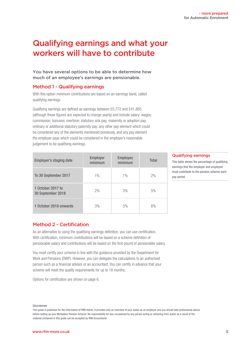### Qualifying earnings and what your workers will have to contribute

You have several options to be able to determine how much of an employee's earnings are pensionable.

#### Method 1 - Qualifying earnings

With this option minimum contributions are based on an earnings band, called qualifying earnings.

Qualifying earnings are defined as earnings between £5,772 and £41,865 (although these figures are expected to change yearly) and include salary; wages; commission; bonuses; overtime; statutory sick pay; maternity or adoption pay; ordinary or additional statutory paternity pay; any other pay element which could be considered any of the elements mentioned previously, and any pay element the employer pays which could be considered in the employer's reasonable judgement to be qualifying earnings.

| <b>Employer's staging date</b>         | <b>Employer</b><br>minimum | <b>Employee</b><br>minimum | Total |
|----------------------------------------|----------------------------|----------------------------|-------|
| To 30 September 2017                   | $1\%$                      | $1\%$                      | 2%    |
| 1 October 2017 to<br>30 September 2018 | 2%                         | 3%                         | 5%    |
| 1 October 2018 onwards                 | 3%                         | 5%                         | 8%    |

#### Qualifying earnings

This table shows the percentage of qualifying earnings that the employer and employee must contribute to the pension scheme each pay period.

#### Method 2 - Certification

As an alternative to using the qualifying earnings definition, you can use certification. With certification, minimum contributions will be based on a scheme definition of pensionable salary and contributions will be based on the first pound of pensionable salary.

You must certify your scheme in line with the guidance provided by the Department for Work and Pensions (DWP). However, you can delegate the calculations to an authorised person such as a financial advisor or an accountant. You can certify in advance that your scheme will meet the quality requirements for up to 18 months.

Options for certification are shown on page 6.

#### Disclaimer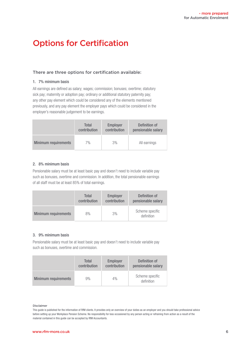### Options for Certification

#### There are three options for certification available:

#### 1. 7% minimum basis

All earnings are defined as salary; wages; commission; bonuses; overtime; statutory sick pay; maternity or adoption pay; ordinary or additional statutory paternity pay; any other pay element which could be considered any of the elements mentioned previously, and any pay element the employer pays which could be considered in the employer's reasonable judgement to be earnings.

|                             | Total        | Employer     | Definition of      |
|-----------------------------|--------------|--------------|--------------------|
|                             | contribution | contribution | pensionable salary |
| <b>Minimum requirements</b> | 7%           | 3%           | All earnings       |

#### 2. 8% minimum basis

Pensionable salary must be at least basic pay and doesn't need to include variable pay such as bonuses, overtime and commission. In addition, the total pensionable earnings of all staff must be at least 85% of total earnings.

|                             | <b>Total</b> | <b>Employer</b> | Definition of                 |
|-----------------------------|--------------|-----------------|-------------------------------|
|                             | contribution | contribution    | pensionable salary            |
| <b>Minimum requirements</b> | 8%           | 3%              | Scheme specific<br>definition |

#### 3. 9% minimum basis

Pensionable salary must be at least basic pay and doesn't need to include variable pay such as bonuses, overtime and commission.

|                             | Total        | <b>Employer</b> | Definition of                 |
|-----------------------------|--------------|-----------------|-------------------------------|
|                             | contribution | contribution    | pensionable salary            |
| <b>Minimum requirements</b> | 9%           | 4%              | Scheme specific<br>definition |

#### Disclaimer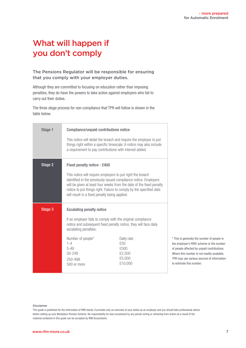### What will happen if you don't comply

#### The Pensions Regulator will be responsible for ensuring that you comply with your employer duties.

Although they are committed to focusing on education rather than imposing penalties, they do have the powers to take action against employers who fail to carry out their duties.

The three stage process for non-compliance that TPR will follow is shown in the table below.

| Stage 1 | Compliance/unpaid contributions notice<br>This notice will detail the breach and require the employer to put<br>things right within a specific timescale. A notice may also include<br>a requirement to pay contributions with interest added.                                                                                                                |                                                                                                                                                                                             |                                                                    |
|---------|---------------------------------------------------------------------------------------------------------------------------------------------------------------------------------------------------------------------------------------------------------------------------------------------------------------------------------------------------------------|---------------------------------------------------------------------------------------------------------------------------------------------------------------------------------------------|--------------------------------------------------------------------|
| Stage 2 | Fixed penalty notice - £400<br>This notice will require employers to put right the breach<br>identified in the previously issued compliance notice. Employers<br>will be given at least four weeks from the date of the fixed penalty<br>notice to put things right. Failure to comply by the specified date<br>will result in a fixed penalty being applied. |                                                                                                                                                                                             |                                                                    |
| Stage 3 | <b>Escalating penalty notice</b><br>escalating penalties.<br>Number of people*<br>$1 - 4$<br>$5 - 49$<br>50-249<br>250-499<br>500 or more                                                                                                                                                                                                                     | If an employer fails to comply with the original compliance<br>notice and subsequent fixed penalty notice, they will face daily<br>Daily rate<br>£50<br>£500<br>£2,500<br>£5,000<br>£10,000 | * This<br>the en<br>of peo<br>Where<br>TPR <sub>m</sub><br>to esti |

is generally the number of people in nployer's PAYE scheme or the number ople affected by unpaid contributions. this number is not readily available, ay use various sources of information imate this number.

#### Disclaimer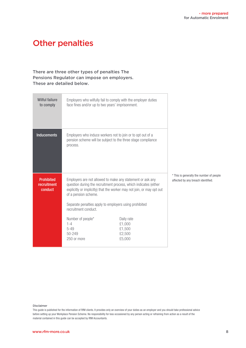### Other penalties

#### There are three other types of penalties The Pensions Regulator can impose on employers. These are detailed below.

| <b>Wilful failure</b><br>to comply          | face fines and/or up to two years' imprisonment.                                                       | Employers who wilfully fail to comply with the employer duties                                                                                                                                           |                                                                                |
|---------------------------------------------|--------------------------------------------------------------------------------------------------------|----------------------------------------------------------------------------------------------------------------------------------------------------------------------------------------------------------|--------------------------------------------------------------------------------|
| <b>Inducements</b>                          | process.                                                                                               | Employers who induce workers not to join or to opt out of a<br>pension scheme will be subject to the three stage compliance                                                                              |                                                                                |
| <b>Prohibited</b><br>recruitment<br>conduct | of a pension scheme.<br>Separate penalties apply to employers using prohibited<br>recruitment conduct. | Employers are not allowed to make any statement or ask any<br>question during the recruitment process, which indicates (either<br>explicitly or implicitly) that the worker may not join, or may opt out | * This is generally the number of people<br>affected by any breach identified. |
|                                             | Number of people*<br>$1 - 4$<br>$5 - 49$<br>50-249<br>250 or more                                      | Daily rate<br>£1,000<br>£1,500<br>£2,500<br>£5,000                                                                                                                                                       |                                                                                |

#### Disclaimer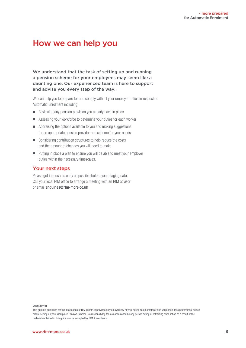### How we can help you

We understand that the task of setting up and running a pension scheme for your employees may seem like a daunting one. Our experienced team is here to support and advise you every step of the way.

We can help you to prepare for and comply with all your employer duties in respect of Automatic Enrolment including:

- $\blacksquare$  Reviewing any pension provision you already have in place
- Assessing your workforce to determine your duties for each worker
- $\blacksquare$  Appraising the options available to you and making suggestions for an appropriate pension provider and scheme for your needs
- Considering contribution structures to help reduce the costs and the amount of changes you will need to make
- Putting in place a plan to ensure you will be able to meet your employer duties within the necessary timescales.

#### Your next steps

Please get in touch as early as possible before your staging date. Call your local RfM office to arrange a meeting with an RfM advisor or email enquiries@rfm-more.co.uk

Disclaimer